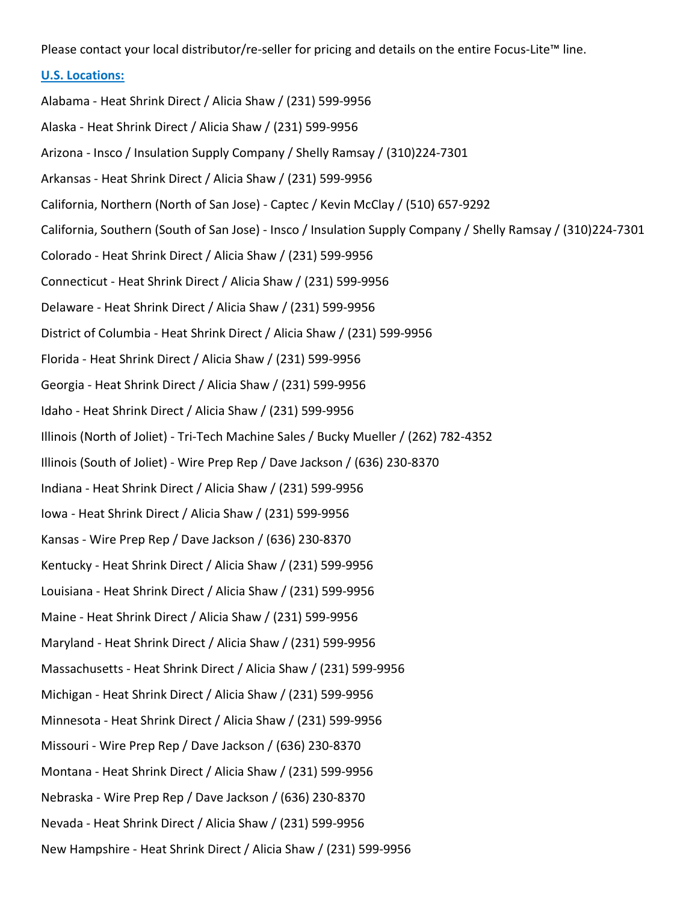Please contact your local distributor/re-seller for pricing and details on the entire Focus-Lite™ line.

### U.S. Locations:

Alabama - Heat Shrink Direct / Alicia Shaw / (231) 599-9956 Alaska - Heat Shrink Direct / Alicia Shaw / (231) 599-9956 Arizona - Insco / Insulation Supply Company / Shelly Ramsay / (310)224-7301 Arkansas - Heat Shrink Direct / Alicia Shaw / (231) 599-9956 California, Northern (North of San Jose) - Captec / Kevin McClay / (510) 657-9292 California, Southern (South of San Jose) - Insco / Insulation Supply Company / Shelly Ramsay / (310)224-7301 Colorado - Heat Shrink Direct / Alicia Shaw / (231) 599-9956 Connecticut - Heat Shrink Direct / Alicia Shaw / (231) 599-9956 Delaware - Heat Shrink Direct / Alicia Shaw / (231) 599-9956 District of Columbia - Heat Shrink Direct / Alicia Shaw / (231) 599-9956 Florida - Heat Shrink Direct / Alicia Shaw / (231) 599-9956 Georgia - Heat Shrink Direct / Alicia Shaw / (231) 599-9956 Idaho - Heat Shrink Direct / Alicia Shaw / (231) 599-9956 Illinois (North of Joliet) - Tri-Tech Machine Sales / Bucky Mueller / (262) 782-4352 Illinois (South of Joliet) - Wire Prep Rep / Dave Jackson / (636) 230-8370 Indiana - Heat Shrink Direct / Alicia Shaw / (231) 599-9956 Iowa - Heat Shrink Direct / Alicia Shaw / (231) 599-9956 Kansas - Wire Prep Rep / Dave Jackson / (636) 230-8370 Kentucky - Heat Shrink Direct / Alicia Shaw / (231) 599-9956 Louisiana - Heat Shrink Direct / Alicia Shaw / (231) 599-9956 Maine - Heat Shrink Direct / Alicia Shaw / (231) 599-9956 Maryland - Heat Shrink Direct / Alicia Shaw / (231) 599-9956 Massachusetts - Heat Shrink Direct / Alicia Shaw / (231) 599-9956 Michigan - Heat Shrink Direct / Alicia Shaw / (231) 599-9956 Minnesota - Heat Shrink Direct / Alicia Shaw / (231) 599-9956 Missouri - Wire Prep Rep / Dave Jackson / (636) 230-8370 Montana - Heat Shrink Direct / Alicia Shaw / (231) 599-9956 Nebraska - Wire Prep Rep / Dave Jackson / (636) 230-8370 Nevada - Heat Shrink Direct / Alicia Shaw / (231) 599-9956 New Hampshire - Heat Shrink Direct / Alicia Shaw / (231) 599-9956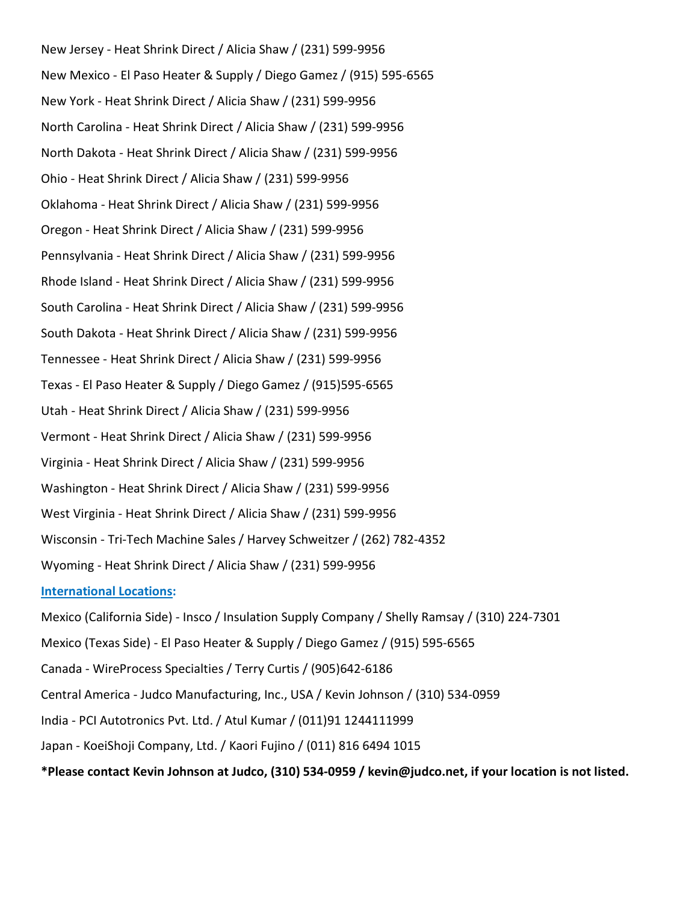New Jersey - Heat Shrink Direct / Alicia Shaw / (231) 599-9956 New Mexico - El Paso Heater & Supply / Diego Gamez / (915) 595-6565 New York - Heat Shrink Direct / Alicia Shaw / (231) 599-9956 North Carolina - Heat Shrink Direct / Alicia Shaw / (231) 599-9956 North Dakota - Heat Shrink Direct / Alicia Shaw / (231) 599-9956 Ohio - Heat Shrink Direct / Alicia Shaw / (231) 599-9956 Oklahoma - Heat Shrink Direct / Alicia Shaw / (231) 599-9956 Oregon - Heat Shrink Direct / Alicia Shaw / (231) 599-9956 Pennsylvania - Heat Shrink Direct / Alicia Shaw / (231) 599-9956 Rhode Island - Heat Shrink Direct / Alicia Shaw / (231) 599-9956 South Carolina - Heat Shrink Direct / Alicia Shaw / (231) 599-9956 South Dakota - Heat Shrink Direct / Alicia Shaw / (231) 599-9956 Tennessee - Heat Shrink Direct / Alicia Shaw / (231) 599-9956 Texas - El Paso Heater & Supply / Diego Gamez / (915)595-6565 Utah - Heat Shrink Direct / Alicia Shaw / (231) 599-9956 Vermont - Heat Shrink Direct / Alicia Shaw / (231) 599-9956 Virginia - Heat Shrink Direct / Alicia Shaw / (231) 599-9956 Washington - Heat Shrink Direct / Alicia Shaw / (231) 599-9956 West Virginia - Heat Shrink Direct / Alicia Shaw / (231) 599-9956 Wisconsin - Tri-Tech Machine Sales / Harvey Schweitzer / (262) 782-4352 Wyoming - Heat Shrink Direct / Alicia Shaw / (231) 599-9956 International Locations: Mexico (California Side) - Insco / Insulation Supply Company / Shelly Ramsay / (310) 224-7301 Mexico (Texas Side) - El Paso Heater & Supply / Diego Gamez / (915) 595-6565 Canada - WireProcess Specialties / Terry Curtis / (905)642-6186 Central America - Judco Manufacturing, Inc., USA / Kevin Johnson / (310) 534-0959 India - PCI Autotronics Pvt. Ltd. / Atul Kumar / (011)91 1244111999 Japan - KoeiShoji Company, Ltd. / Kaori Fujino / (011) 816 6494 1015 \*Please contact Kevin Johnson at Judco, (310) 534-0959 / kevin@judco.net, if your location is not listed.